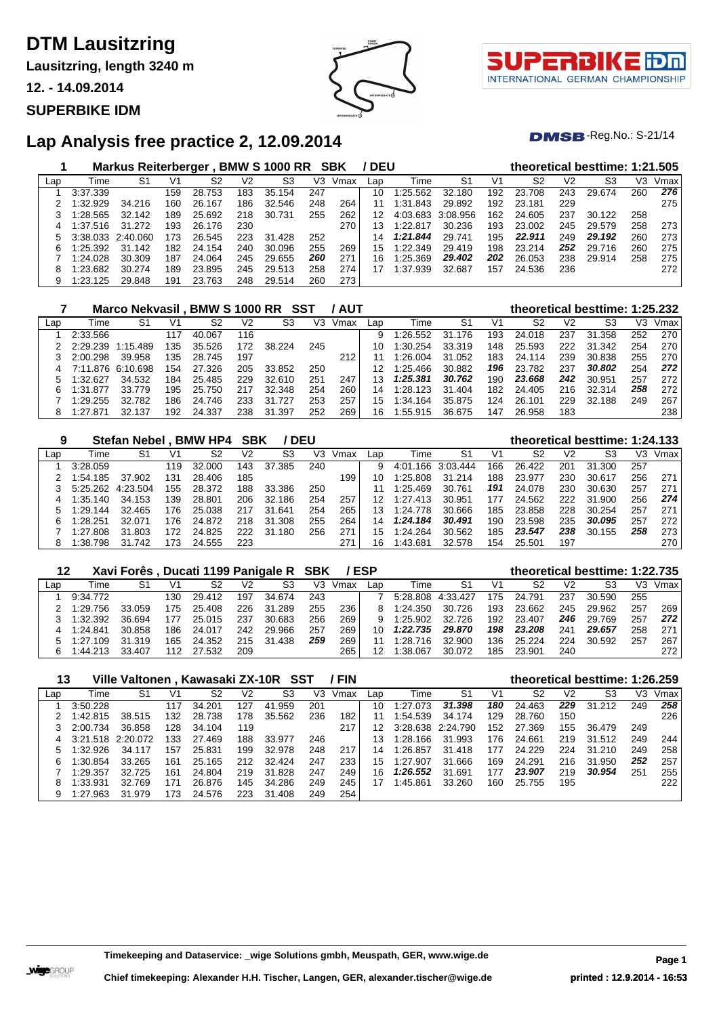**Lausitzring, length 3240 m**

**12. - 14.09.2014**

#### **SUPERBIKE IDM**



τl INTERNATIONAL GERMAN CHAMPIONSHIP

 $DMSB$ -Reg.No.: S-21/14

|     |                   | <b>Markus Reiterberger</b> |     |        |     | BMW S 1000 RR SBK |     |      | / DEU |              |          |     |        |                | theoretical besttime: 1:21.505 |     |      |
|-----|-------------------|----------------------------|-----|--------|-----|-------------------|-----|------|-------|--------------|----------|-----|--------|----------------|--------------------------------|-----|------|
| Lap | Time              | S1                         | V1  | S2     | V2  | S <sub>3</sub>    | V3  | Vmax | Lap   | Time         | S1       | V1  | S2     | V <sub>2</sub> | S3                             | V3  | Vmax |
|     | 3:37.339          |                            | 159 | 28.753 | 183 | 35.154            | 247 |      | 10    | 1:25.562     | 32.180   | 192 | 23.708 | 243            | 29.674                         | 260 | 276  |
|     | 1:32.929          | 34.216                     | 160 | 26.167 | 186 | 32.546            | 248 | 264  | 11    | 1:31<br>.843 | 29.892   | 192 | 23.181 | 229            |                                |     | 275  |
|     | 1:28.565          | 32.142                     | 189 | 25.692 | 218 | 30.731            | 255 | 262  | 12    | 4:03.683     | 3:08.956 | 162 | 24.605 | 237            | 30.122                         | 258 |      |
| 4   | 1:37.516          | 31.272                     | 193 | 26.176 | 230 |                   |     | 270  | 13    | 1:22.817     | 30.236   | 193 | 23.002 | 245            | 29.579                         | 258 | 273  |
| 5.  | 3:38.033 2:40.060 |                            | 173 | 26.545 | 223 | 31.428            | 252 |      | 14    | 1:21.844     | 29.741   | 195 | 22.911 | 249            | 29.192                         | 260 | 273  |
| 6   | 1:25.392          | 31.142                     | 182 | 24.154 | 240 | 30.096            | 255 | 269  | 15    | 1:22.349     | 29.419   | 198 | 23.214 | 252            | 29.716                         | 260 | 275  |
|     | 1:24.028          | 30.309                     | 187 | 24.064 | 245 | 29.655            | 260 | 271  | 16    | 1:25.369     | 29.402   | 202 | 26.053 | 238            | 29.914                         | 258 | 275  |
| 8   | 1:23.682          | 30.274                     | 189 | 23.895 | 245 | 29.513            | 258 | 274  |       | 1:37.939     | 32.687   | 157 | 24.536 | 236            |                                |     | 272  |
| 9   | 1:23.125          | 29.848                     | 191 | 23.763 | 248 | 29.514            | 260 | 273  |       |              |          |     |        |                |                                |     |      |

|     |          | Marco Nekvasil, BMW S 1000 RR SST |     |        |     |             |     | ' AUT |     |          |        |     | theoretical besttime: 1:25.232 |     |        |     |      |
|-----|----------|-----------------------------------|-----|--------|-----|-------------|-----|-------|-----|----------|--------|-----|--------------------------------|-----|--------|-----|------|
| Lap | Time     | S1                                | V1  | S2     | V2  | S3          | V3  | Vmax  | Lap | Time     | -S1    | V1  | S2                             | V2  | S3     | VЗ  | Vmax |
|     | 2:33.566 |                                   | 117 | 40.067 | 116 |             |     |       | 9   | 1:26.552 | 31.176 | 193 | 24.018                         | 237 | 31.358 | 252 | 270  |
|     | 2:29.239 | 1:15.489                          | 135 | 35.526 | 172 | 38.224      | 245 |       | 10  | 1:30.254 | 33.319 | 148 | 25.593                         | 222 | 31.342 | 254 | 270  |
|     | 2:00.298 | 39.958                            | 135 | 28.745 | 197 |             |     | 212   |     | 1:26.004 | 31.052 | 183 | 24.114                         | 239 | 30.838 | 255 | 270  |
|     | 7:11.876 | 6:10.698                          | 154 | 27.326 | 205 | 33.852      | 250 |       |     | 1:25.466 | 30.882 | 196 | 23.782                         | 237 | 30.802 | 254 | 272  |
|     | 1:32.627 | 34.532                            | 184 | 25.485 | 229 | 32.610      | 251 | 247   | 13  | 1:25.381 | 30.762 | 190 | 23.668                         | 242 | 30.951 | 257 | 272  |
| 6   | 1:31.877 | 33.779                            | 195 | 25.750 | 217 | 32.348      | 254 | 260   | 14  | 1:28.123 | 31.404 | 182 | 24.405                         | 216 | 32.314 | 258 | 272  |
|     | 1:29.255 | 32.782                            | 186 | 24.746 | 233 | 31.<br>.727 | 253 | 257   | 15  | 1:34.164 | 35.875 | 124 | 26.101                         | 229 | 32.188 | 249 | 267  |
| 8   | 1:27.871 | 32.137                            | 192 | 24.337 | 238 | 31.397      | 252 | 269   | 16  | 1:55.915 | 36.675 | 147 | 26.958                         | 183 |        |     | 238  |

| 9   |          | <b>Stefan Nebel</b> |     | <b>BMW HP4</b> | <b>SBK</b>     |            | <b>DEU</b> |      |     |          |          |     | theoretical besttime: 1:24.133 |                |        |     |      |
|-----|----------|---------------------|-----|----------------|----------------|------------|------------|------|-----|----------|----------|-----|--------------------------------|----------------|--------|-----|------|
| Lap | Time     | S1                  | V1  | S2             | V <sub>2</sub> | S3         | V3         | Vmax | Lap | Гіmе     | S1       | V1  | S2                             | V <sub>2</sub> | S3     | VЗ  | Vmax |
|     | 3:28.059 |                     | 119 | 32,000         | 143            | 37<br>.385 | 240        |      | 9   | 4:01.166 | 3:03.444 | 166 | 26.422                         | 201            | 31.300 | 257 |      |
|     | 1:54.185 | 37.902              | 131 | 28.406         | 185            |            |            | 199  | 10  | 1:25.808 | 31.214   | 188 | 23.977                         | 230            | 30.617 | 256 | 271  |
|     | 5:25.262 | 4:23.504            | 155 | 28.372         | 188            | 33.386     | 250        |      |     | 1:25.469 | 30.761   | 191 | 24.078                         | 230            | 30.630 | 257 | 271  |
| 4   | 1:35.140 | 34.153              | 139 | 28.801         | 206            | 32.186     | 254        | 257  |     | 1:27.413 | 30.951   | 177 | 24.562                         | 222            | 31.900 | 256 | 274  |
|     | 1:29.144 | 32.465              | 176 | 25.038         | 217            | 31<br>.641 | 254        | 265  |     | 1:24.778 | 30.666   | 185 | 23.858                         | 228            | 30.254 | 257 | 271  |
| 6   | 1:28.251 | 32.071              | 176 | 24.872         | 218            | 31<br>.308 | 255        | 264  | 14  | 1:24.184 | 30.491   | 190 | 23.598                         | 235            | 30.095 | 257 | 272  |
|     | 1:27.808 | 31.803              | 172 | 24.825         | 222            | 31<br>180  | 256        | 271  | 15  | 1:24.264 | 30.562   | 185 | 23.547                         | 238            | 30.155 | 258 | 273  |
| 8   | 1:38.798 | 31.742              | 173 | 24.555         | 223            |            |            | 271  | 16  | 1:43.681 | 32.578   | 154 | 25.501                         | 197            |        |     | 270  |

| 12  |          | Xavi Forês, Ducati 1199 Panigale R SBK |      |        |     |            |     |      | /ESP |          |          |     | theoretical besttime: 1:22.735 |                |        |     |      |
|-----|----------|----------------------------------------|------|--------|-----|------------|-----|------|------|----------|----------|-----|--------------------------------|----------------|--------|-----|------|
| Lap | Time     | S1                                     | V1   | S2     | V2  | S3         | V3  | Vmax | Lan  | Гіmе     | S1       | V1  | S2                             | V <sub>2</sub> |        | V3  | Vmax |
|     | 9:34.772 |                                        | 130  | 29.412 | 197 | 34.674     | 243 |      |      | 5:28.808 | 4:33.427 | 175 | 24.791                         | 237            | 30.590 | 255 |      |
|     | 1:29.756 | 33.059                                 | 175. | 25.408 | 226 | .289<br>31 | 255 | 236  |      | 1:24.350 | 30.726   | 193 | 23.662                         | 245            | 29.962 | 257 | 269  |
|     | 1:32.392 | 36.694                                 | 177  | 25.015 | 237 | 30.683     | 256 | 269  |      | 1:25.902 | 32.726   | 192 | 23.407                         | 246            | 29.769 | 257 | 272  |
|     | 1:24.841 | 30.858                                 | 186  | 24.017 | 242 | 29.966     | 257 | 269  | 10   | 1:22.735 | 29.870   | 198 | 23.208                         | 241            | 29.657 | 258 | 271  |
|     | 1:27.109 | 31.319                                 | 165  | 24.352 | 215 | 31.438     | 259 | 269  |      | 1:28.716 | 32.900   | 136 | 25.224                         | 224            | 30.592 | 257 | 267  |
| 6.  | 1:44.213 | 33.407                                 | 112  | 27.532 | 209 |            |     | 265  |      | 1:38.067 | 30.072   | 185 | 23.901                         | 240            |        |     | 272  |

| 13  |                   | Ville Valtonen, Kawasaki ZX-10R SST |     |        |                |        |     | / FIN |     |              |                   |     | theoretical besttime: 1:26.259 |                |        |     |      |
|-----|-------------------|-------------------------------------|-----|--------|----------------|--------|-----|-------|-----|--------------|-------------------|-----|--------------------------------|----------------|--------|-----|------|
| Lap | Time              | S1                                  | V1  | S2     | V <sub>2</sub> | S3     | V3  | Vmax  | Lap | Time         | S1                | V1  | S <sub>2</sub>                 | V <sub>2</sub> | S3     | V3  | Vmax |
|     | 3:50.228          |                                     | 117 | 34.201 | 127            | 41.959 | 201 |       | 10  | 1:27<br>.073 | 31.398            | 180 | 24.463                         | 229            | 31.212 | 249 | 258  |
|     | 1:42.815          | 38.515                              | 132 | 28.738 | 178            | 35.562 | 236 | 182   | 11  | 1:54.539     | 34.174            | 129 | 28.760                         | 150            |        |     | 226  |
|     | 2:00.734          | 36.858                              | 128 | 34.104 | 119            |        |     | 217   | 12  |              | 3:28.638 2:24.790 | 152 | 27.369                         | 155            | 36.479 | 249 |      |
| 4   | 3:21.518 2:20.072 |                                     | 133 | 27.469 | 188            | 33.977 | 246 |       | 13. | 1:28.166     | 31.993            | 176 | 24.661                         | 219            | 31.512 | 249 | 244  |
| 5   | 1:32.926          | 34.117                              | 157 | 25.831 | 199            | 32.978 | 248 | 217   | 14  | 1:26.857     | 31.418            | 177 | 24.229                         | 224            | 31.210 | 249 | 258  |
| 6   | 1:30.854          | 33.265                              | 161 | 25.165 | 212            | 32.424 | 247 | 233   | 15  | 1:27.907     | 31.666            | 169 | 24.291                         | 216            | 31.950 | 252 | 257  |
|     | 1:29.357          | 32.725                              | 161 | 24.804 | 219            | 31.828 | 247 | 249   | 16. | 1:26.552     | 31.691            | 177 | 23,907                         | 219            | 30.954 | 251 | 255  |
| 8   | 1:33.931          | 32.769                              | 171 | 26.876 | 145            | 34.286 | 249 | 245   |     | 1:45.861     | 33.260            | 160 | 25.755                         | 195            |        |     | 222  |
| 9   | 1:27.963          | 31.979                              | 173 | 24.576 | 223            | 31.408 | 249 | 254   |     |              |                   |     |                                |                |        |     |      |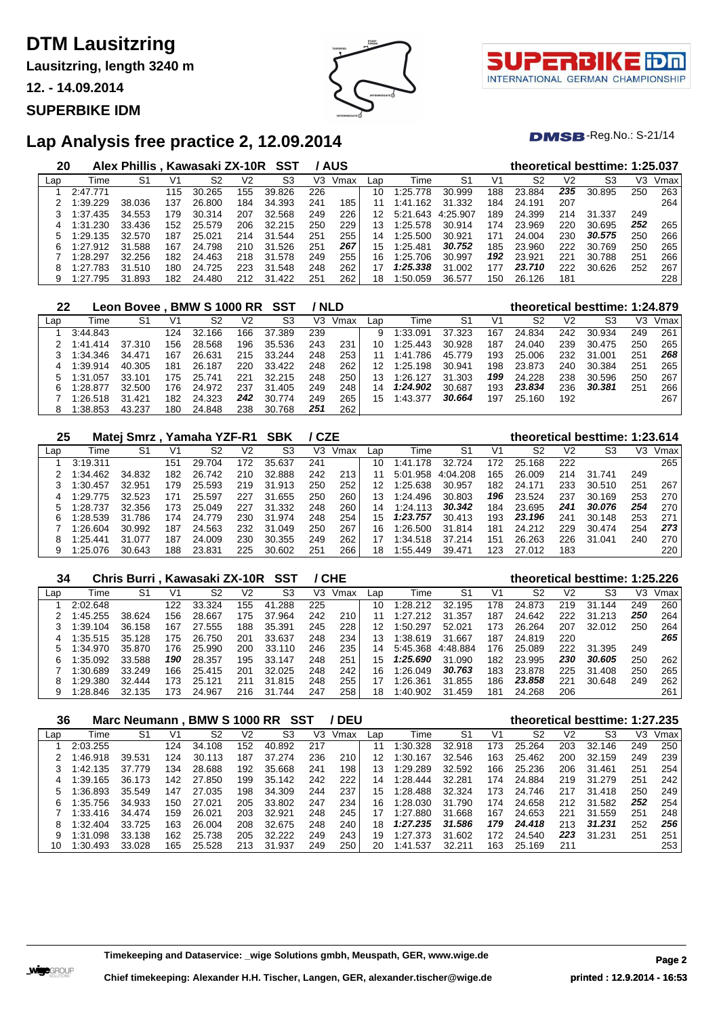**Lausitzring, length 3240 m**

**12. - 14.09.2014**

#### **SUPERBIKE IDM**



 $DMSB$ -Reg.No.: S-21/14

| 20  |          | Alex Phillis, Kawasaki ZX-10R SST |     |        |     |            |     | / AUS |                 |              |          |     |        |     | theoretical besttime: 1:25.037 |     |      |
|-----|----------|-----------------------------------|-----|--------|-----|------------|-----|-------|-----------------|--------------|----------|-----|--------|-----|--------------------------------|-----|------|
| Lap | Time     | S1                                | V1  | S2     | V2  | S3         | V3  | Vmax  | Lap             | Time         | S1       | V1  | S2     | V2  | S3                             | VЗ  | Vmax |
|     | 2:47.771 |                                   | 115 | 30.265 | 155 | 39.826     | 226 |       | 10              | 1:25.778     | 30.999   | 188 | 23.884 | 235 | 30.895                         | 250 | 263  |
|     | 1:39.229 | 38.036                            | 137 | 26.800 | 184 | 34.393     | 241 | 185   |                 | .162<br>1:41 | 31.332   | 184 | 24.191 | 207 |                                |     | 264  |
|     | 1:37.435 | 34.553                            | 179 | 30.314 | 207 | 32.568     | 249 | 226   | 12 <sup>7</sup> | 5:21.643     | 4:25.907 | 189 | 24.399 | 214 | 31.337                         | 249 |      |
|     | 1:31.230 | 33.436                            | 152 | 25.579 | 206 | 32.215     | 250 | 229   | 13              | 1:25.578     | 30.914   | 174 | 23.969 | 220 | 30.695                         | 252 | 265  |
|     | 1:29.135 | 32.570                            | 187 | 25.021 | 214 | 31.544     | 251 | 255   | 14              | 1:25.500     | 30.921   | 171 | 24.004 | 230 | 30.575                         | 250 | 266  |
| 6   | 1:27.912 | 31.588                            | 167 | 24.798 | 210 | 31.526     | 251 | 267   | 15              | 1:25.481     | 30.752   | 185 | 23.960 | 222 | 30.769                         | 250 | 265  |
|     | 1:28.297 | 32.256                            | 182 | 24.463 | 218 | 31.578     | 249 | 255   | 16              | 1:25.706     | 30.997   | 192 | 23.921 | 221 | 30.788                         | 251 | 266  |
|     | 1:27.783 | 31.510                            | 180 | 24.725 | 223 | 31.548     | 248 | 262   | 17              | 1:25.338     | 31.002   | 177 | 23.710 | 222 | 30.626                         | 252 | 267  |
|     | 1:27.795 | 31.893                            | 182 | 24.480 | 212 | 31<br>.422 | 251 | 262   | 18              | 1:50.059     | 36.577   | 150 | 26.126 | 181 |                                |     | 228  |

| 22  |          | Leon Bovee . BMW S 1000 RR SST |     |        |     |                |     | ' NLD |     |              |                |     | theoretical besttime: 1:24.879 |                |                |     |      |
|-----|----------|--------------------------------|-----|--------|-----|----------------|-----|-------|-----|--------------|----------------|-----|--------------------------------|----------------|----------------|-----|------|
| Lap | Time     | S1                             | V1  | S2     | V2  | S <sub>3</sub> | V3  | Vmax  | Lap | Time         | S <sub>1</sub> | V1  | S <sub>2</sub>                 | V <sub>2</sub> | S <sub>3</sub> | V3  | Vmax |
|     | 3:44.843 |                                | 124 | 32.166 | 166 | 37.389         | 239 |       | 9   | 1:33.091     | 37.323         | 167 | 24.834                         | 242            | 30.934         | 249 | 261  |
|     | 1:41.414 | 37.310                         | 156 | 28.568 | 196 | 35.536         | 243 | 231   | 10  | 1:25.443     | 30.928         | 187 | 24.040                         | 239            | 30.475         | 250 | 265  |
|     | 1:34.346 | 34.471                         | 167 | 26.631 | 215 | 33.244         | 248 | 253   |     | .786<br>1:41 | 45.779         | 193 | 25.006                         | 232            | 31.001         | 251 | 268  |
| 4   | 1:39.914 | 40.305                         | 181 | 26.187 | 220 | 33.422         | 248 | 262   | 12  | 1:25.198     | 30.941         | 198 | 23.873                         | 240            | 30.384         | 251 | 265  |
|     | 1:31.057 | 33.101                         | 175 | 25.741 | 221 | 32.215         | 248 | 250   | 13  | 1:26.127     | 31.303         | 199 | 24.228                         | 238            | 30.596         | 250 | 267  |
| 6   | 1:28.877 | 32.500                         | 176 | 24.972 | 237 | 31.405         | 249 | 248   | 14  | 1:24.902     | 30.687         | 193 | 23.834                         | 236            | 30.381         | 251 | 266  |
|     | 1:26.518 | 31.421                         | 182 | 24.323 | 242 | 30.774         | 249 | 265   | 15  | 1:43.377     | 30.664         | 197 | 25.160                         | 192            |                |     | 267  |
|     | 1:38.853 | 43.237                         | 180 | 24.848 | 238 | 30.768         | 251 | 262   |     |              |                |     |                                |                |                |     |      |

| 25  |          | Matej Smrz, Yamaha YZF-R1 SBK |     |        |     |            | / CZE |      |     |              |          |     | theoretical besttime: 1:23.614 |     |        |     |      |
|-----|----------|-------------------------------|-----|--------|-----|------------|-------|------|-----|--------------|----------|-----|--------------------------------|-----|--------|-----|------|
| Lap | Time     | S1                            | V1  | S2     | V2  | S3         | V3    | Vmax | Lap | Time         | -S1      | V1  | S2                             | V2  | S3     | V3  | Vmax |
|     | 3:19.311 |                               | 151 | 29.704 | 172 | 35.637     | 241   |      | 10  | .178<br>1:41 | 32.724   | 172 | 25.168                         | 222 |        |     | 265  |
|     | 1:34.462 | 34.832                        | 182 | 26.742 | 210 | 32.888     | 242   | 213  |     | 5:01.958     | 4:04.208 | 165 | 26,009                         | 214 | 31.741 | 249 |      |
|     | 1:30.457 | 32.951                        | 179 | 25.593 | 219 | 31<br>.913 | 250   | 252  | 12  | 1:25.638     | 30.957   | 182 | 24.171                         | 233 | 30.510 | 251 | 267  |
| 4   | 1:29.775 | 32.523                        | 171 | 25.597 | 227 | 31.655     | 250   | 260  | 13  | 1:24.496     | 30.803   | 196 | 23.524                         | 237 | 30.169 | 253 | 270  |
|     | 1:28.737 | 32.356                        | 173 | 25.049 | 227 | 31.332     | 248   | 260  | 14  | 1:24.113     | 30.342   | 184 | 23.695                         | 241 | 30.076 | 254 | 270  |
| 6   | 1:28.539 | 31.786                        | 174 | 24.779 | 230 | 31.974     | 248   | 254  | 15  | 1:23.757     | 30.413   | 193 | 23.196                         | 241 | 30.148 | 253 | 271  |
|     | 1:26.604 | 30.992                        | 187 | 24.563 | 232 | 31.049     | 250   | 267  | 16  | 1:26.500     | 31.814   | 181 | 24.212                         | 229 | 30.474 | 254 | 273  |
| 8   | 1:25.441 | 31.077                        | 187 | 24.009 | 230 | 30.355     | 249   | 262  | 17  | 1:34.518     | 37.214   | 151 | 26.263                         | 226 | 31.041 | 240 | 270  |
| 9   | 1:25.076 | 30.643                        | 188 | 23.831 | 225 | 30.602     | 251   | 266  | 18  | 1:55.449     | 39.471   | 123 | 27.012                         | 183 |        |     | 220  |

| 34  |          | Chris Burri, Kawasaki ZX-10R SST |     |            |     |            |     | / CHE |     |               |          |     |        |     | theoretical besttime: 1:25.226 |     |      |
|-----|----------|----------------------------------|-----|------------|-----|------------|-----|-------|-----|---------------|----------|-----|--------|-----|--------------------------------|-----|------|
| Lap | Time     | S1                               | V1  | S2         | V2  | S3         | VЗ  | Vmax  | Lap | Time          | S1       | V1  | S2     | V2  | S3                             | V3  | Vmax |
|     | 2:02.648 |                                  | 122 | 33.<br>324 | 155 | .288<br>41 | 225 |       | 10  | 1:28.212      | 32.195   | 178 | 24.873 | 219 | 31<br>144                      | 249 | 260  |
|     | :45.255  | 38.624                           | 156 | 28.667     | 175 | 37.964     | 242 | 210   |     | 1:27.<br>.212 | 31.357   | 187 | 24.642 | 222 | 31.213                         | 250 | 264  |
|     | 1:39.104 | 36.158                           | 167 | 27.555     | 188 | 35.391     | 245 | 228   | 12  | 1:50.297      | 52.021   | 173 | 26.264 | 207 | 32.012                         | 250 | 264  |
|     | :35.515  | 35.128                           | 175 | 26.750     | 201 | 33.637     | 248 | 234   | 13. | 1:38.619      | 31.667   | 187 | 24.819 | 220 |                                |     | 265  |
|     | :34.970  | 35.870                           | 176 | 25.990     | 200 | 33.110     | 246 | 235   | 14  | 5:45.368      | 4:48.884 | 176 | 25.089 | 222 | 31.395                         | 249 |      |
| 6   | :35.092  | 33.588                           | 190 | 28.357     | 195 | 33.147     | 248 | 251   | 15  | 1:25.690      | 31.090   | 182 | 23.995 | 230 | 30.605                         | 250 | 262  |
|     | :30.689  | 33.249                           | 166 | 25.415     | 201 | 32.025     | 248 | 242   | 16  | 1:26.049      | 30.763   | 183 | 23.878 | 225 | 31.408                         | 250 | 265  |
| 8   | 1:29.380 | 32.444                           | 173 | 25.121     | 211 | 31.815     | 248 | 255   |     | 1:26.361      | 31.855   | 186 | 23.858 | 221 | 30.648                         | 249 | 262  |
| 9   | :28.846  | 32.135                           | 173 | 24.967     | 216 | 31<br>.744 | 247 | 258   | 18  | 1:40.902      | 31.459   | 181 | 24.268 | 206 |                                |     | 261  |

| 36  |          | Marc Neumann . BMW S 1000 RR |     |             |                | SST    |     | <b>DEU</b> |     |          |                |     | theoretical besttime: 1:27.235 |     |        |     |      |
|-----|----------|------------------------------|-----|-------------|----------------|--------|-----|------------|-----|----------|----------------|-----|--------------------------------|-----|--------|-----|------|
| Lap | Time     | S <sub>1</sub>               | V1  | S2          | V <sub>2</sub> | S3     | V3  | Vmax       | Lap | Time     | S <sub>1</sub> | V1  | S2                             | V2  | S3     | VЗ  | Vmax |
|     | 2:03.255 |                              | 124 | 34.108      | 152            | 40.892 | 217 |            |     | 1:30.328 | 32.918         | 173 | 25.264                         | 203 | 32.146 | 249 | 250  |
|     | :46.918  | 39.531                       | 124 | 30.<br>.113 | 187            | 37.274 | 236 | 210        | 12  | 1:30.167 | 32.546         | 163 | 25.462                         | 200 | 32.159 | 249 | 239  |
|     | 1:42.135 | 37.779                       | 134 | 28.688      | 192            | 35.668 | 241 | 198        | 13  | 1:29.289 | 32.592         | 166 | 25.236                         | 206 | 31.461 | 251 | 254  |
| 4   | 1:39.165 | 36.173                       | 142 | 27.850      | 199            | 35.142 | 242 | 222        | 14  | 1:28.444 | 32.281         | 174 | 24.884                         | 219 | 31.279 | 251 | 242  |
|     | 1:36.893 | 35.549                       | 147 | 27.035      | 198            | 34.309 | 244 | 237        | 15  | 1:28.488 | 32.324         | 173 | 24.746                         | 217 | 31.418 | 250 | 249  |
| 6   | 1:35.756 | 34.933                       | 150 | 27.021      | 205            | 33.802 | 247 | 234        | 16  | 1:28.030 | 31.790         | 174 | 24.658                         | 212 | 31.582 | 252 | 254  |
|     | 1:33.416 | 34.474                       | 159 | 26.021      | 203            | 32.921 | 248 | 245        | 17  | 1:27.880 | 31.668         | 167 | 24.653                         | 221 | 31.559 | 251 | 248  |
| 8   | 1:32.404 | 33.725                       | 163 | 26.004      | 208            | 32.675 | 248 | 240        | 18  | 1:27.235 | 31.586         | 179 | 24.418                         | 213 | 31.231 | 252 | 256  |
| 9   | 1:31.098 | 33.138                       | 162 | 25.738      | 205            | 32.222 | 249 | 243        | 19  | 1:27.373 | 31.602         | 172 | 24.540                         | 223 | 31.231 | 251 | 251  |
| 10  | 1:30.493 | 33.028                       | 165 | 25.528      | 213            | 31.937 | 249 | 250        | 20  | 1:41.537 | 32.211         | 163 | 25.169                         | 211 |        |     | 253  |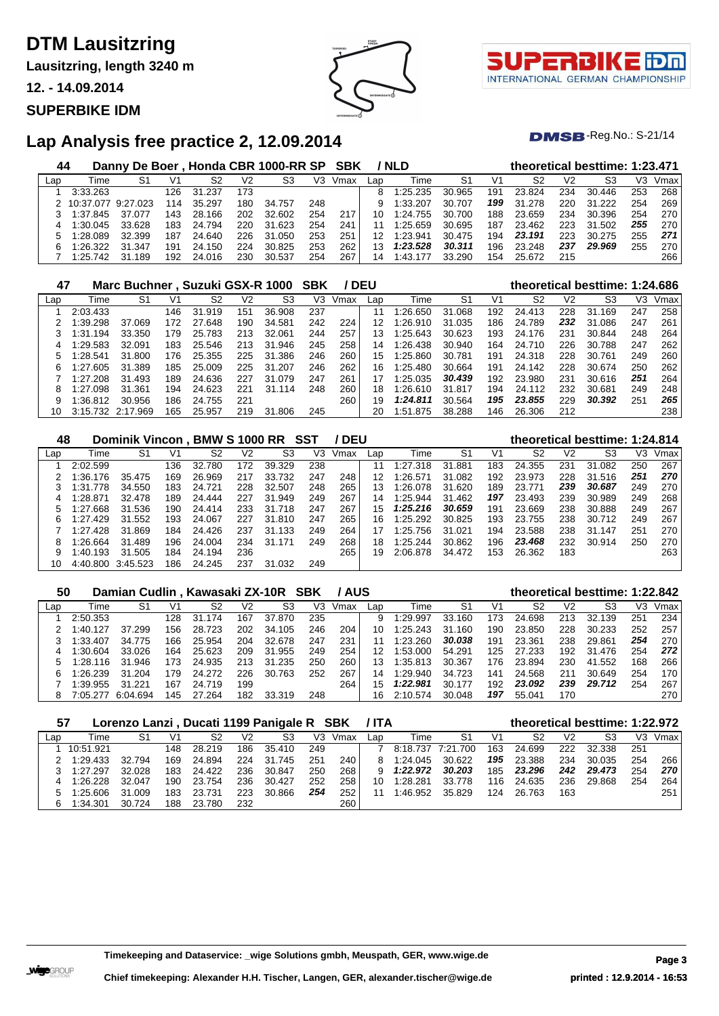**Lausitzring, length 3240 m**

**12. - 14.09.2014**

#### **SUPERBIKE IDM**



τl INTERNATIONAL GERMAN CHAMPIONSHIP

 $DMSB$ -Reg.No.: S-21/14

| 44  |           |          |     |        |     | Danny De Boer, Honda CBR 1000-RR SP SBK |     |      |     | / NLD    |        |     | theoretical besttime: 1:23.471 |     |        |     |      |
|-----|-----------|----------|-----|--------|-----|-----------------------------------------|-----|------|-----|----------|--------|-----|--------------------------------|-----|--------|-----|------|
| Lap | Time      | S1       | V1  | S2     | V2  | S3                                      | V3  | Vmax | Lap | Time     | S1     | V1  | S2                             | V2  | S3     | V3  | Vmax |
|     | 3:33.263  |          | 126 | 31.237 | 173 |                                         |     |      |     | 1:25.235 | 30.965 | 191 | 23.824                         | 234 | 30.446 | 253 | 268  |
|     | 10:37.077 | 9.27.023 | 114 | 35.297 | 180 | 34.757                                  | 248 |      |     | 1:33.207 | 30.707 | 199 | 31.278                         | 220 | 31.222 | 254 | 269  |
|     | 1:37.845  | 37.077   | 143 | 28.166 | 202 | 32.602                                  | 254 | 217  | 10  | 1:24.755 | 30.700 | 188 | 23.659                         | 234 | 30.396 | 254 | 270  |
| 4   | 1:30.045  | 33.628   | 183 | 24.794 | 220 | 31.623                                  | 254 | 241  |     | 1:25.659 | 30.695 | 187 | 23.462                         | 223 | 31.502 | 255 | 270  |
|     | 1:28.089  | 32.399   | 187 | 24.640 | 226 | 31.050                                  | 253 | 251  |     | 1:23.941 | 30.475 | 194 | 23.191                         | 223 | 30.275 | 255 | 271  |
|     | 1:26.322  | 31.347   | 191 | 24.150 | 224 | 30.825                                  | 253 | 262  | 13  | 1:23.528 | 30.311 | 196 | 23.248                         | 237 | 29.969 | 255 | 270  |
|     | 1:25.742  | 31.189   | 192 | 24.016 | 230 | 30.537                                  | 254 | 267  | 14  | $-43.$   | 33.290 | 154 | 25.672                         | 215 |        |     | 266  |

| 47  |          | Marc Buchner, Suzuki GSX-R 1000 |     |        |     |             | <b>SBK</b> |      | <b>DEU</b> |          |        |     |        |     | theoretical besttime: 1:24.686 |     |      |
|-----|----------|---------------------------------|-----|--------|-----|-------------|------------|------|------------|----------|--------|-----|--------|-----|--------------------------------|-----|------|
| Lap | Time     | S1                              | V1  | S2     | V2  | S3          | V3         | Vmax | Lap        | Time     | S1     | V1  | S2     | V2  | S3                             | V3  | Vmax |
|     | 2:03.433 |                                 | 146 | 31.919 | 151 | 36.908      | 237        |      | 11         | 1:26.650 | 31.068 | 192 | 24.413 | 228 | 31.<br>.169                    | 247 | 258  |
|     | 1:39.298 | 37.069                          | 172 | 27.648 | 190 | 34.581      | 242        | 224  | 12         | 1:26.910 | 31.035 | 186 | 24.789 | 232 | 31.086                         | 247 | 261  |
|     | 1:31.194 | 33.350                          | 179 | 25.783 | 213 | 32.061      | 244        | 257  | 13         | 1:25.643 | 30.623 | 193 | 24.176 | 231 | 30.844                         | 248 | 264  |
|     | 1:29.583 | 32.091                          | 183 | 25.546 | 213 | .946<br>31  | 245        | 258  | 14         | 1:26.438 | 30.940 | 164 | 24.710 | 226 | 30.788                         | 247 | 262  |
| 5   | 1:28.541 | 31.800                          | 176 | 25.355 | 225 | .386<br>31  | 246        | 260  | 15         | 1:25.860 | 30.781 | 191 | 24.318 | 228 | 30.761                         | 249 | 260  |
| 6   | 1:27.605 | 31.389                          | 185 | 25,009 | 225 | 31.<br>.207 | 246        | 262  | 16         | 1:25.480 | 30.664 | 191 | 24.142 | 228 | 30.674                         | 250 | 262  |
|     | 1:27.208 | 31.493                          | 189 | 24.636 | 227 | 31.079      | 247        | 261  | 17         | 1:25.035 | 30.439 | 192 | 23.980 | 231 | 30.616                         | 251 | 264  |
| 8   | 1:27.098 | 31.361                          | 194 | 24.623 | 221 | 31.<br>.114 | 248        | 260  | 18         | 1:26.610 | 31.817 | 194 | 24.112 | 232 | 30.681                         | 249 | 248  |
| 9   | 1:36.812 | 30.956                          | 186 | 24.755 | 221 |             |            | 260  | 19         | 1:24.811 | 30.564 | 195 | 23,855 | 229 | 30.392                         | 251 | 265  |
| 10  | 3:15.732 | 2:17.969                        | 165 | 25.957 | 219 | .806<br>31  | 245        |      | 20         | 1:51.875 | 38.288 | 146 | 26.306 | 212 |                                |     | 238  |

| 48  |               | Dominik Vincon, BMW S 1000 RR SST |     |        |     |        |     | / DEU |     |          |                |     |        |     | theoretical besttime: 1:24.814 |     |      |
|-----|---------------|-----------------------------------|-----|--------|-----|--------|-----|-------|-----|----------|----------------|-----|--------|-----|--------------------------------|-----|------|
| Lap | Time          | S1                                | V1  | S2     | V2  | S3     | V3  | Vmax  | Lap | Time     | S <sub>1</sub> | V1  | S2     | V2  | S3                             | VЗ  | Vmax |
|     | 2:02.599      |                                   | 136 | 32.780 | 172 | 39.329 | 238 |       |     | 1:27.318 | .881<br>31     | 183 | 24.355 | 231 | 31.082                         | 250 | 267  |
|     | 1:36.176      | 35.475                            | 169 | 26.969 | 217 | 33.732 | 247 | 248   | 12  | 1:26.571 | 31.082         | 192 | 23.973 | 228 | 31.516                         | 251 | 270  |
|     | .778<br>1:31. | 34.550                            | 183 | 24.721 | 228 | 32.507 | 248 | 265   | 13  | 1:26.078 | 31.620         | 189 | 23.771 | 239 | 30.687                         | 249 | 270  |
|     | 1:28.871      | 32.478                            | 189 | 24.444 | 227 | 31.949 | 249 | 267   | 14  | 1:25.944 | 31.462         | 197 | 23.493 | 239 | 30.989                         | 249 | 268  |
| 5   | 1:27.668      | 31.536                            | 190 | 24.414 | 233 | 31.718 | 247 | 267   | 15  | 1:25.216 | 30.659         | 191 | 23.669 | 238 | 30.888                         | 249 | 267  |
| 6   | 1:27.429      | 31.552                            | 193 | 24.067 | 227 | 31.810 | 247 | 265   | 16  | 1:25.292 | 30.825         | 193 | 23.755 | 238 | 30.712                         | 249 | 267  |
|     | 1:27.428      | 31.869                            | 184 | 24.426 | 237 | 31.133 | 249 | 264   |     | 1:25.756 | 31.021         | 194 | 23.588 | 238 | 31.147                         | 251 | 270  |
| 8   | 1:26.664      | 31.489                            | 196 | 24.004 | 234 | 31.171 | 249 | 268   | 18  | 1:25.244 | 30.862         | 196 | 23,468 | 232 | 30.914                         | 250 | 270  |
| 9   | 1:40.193      | 31.505                            | 184 | 24.194 | 236 |        |     | 265   | 19  | 2:06.878 | 34.472         | 153 | 26.362 | 183 |                                |     | 263  |
|     | 4:40.800      | 3:45.523                          | 186 | 24.245 | 237 | 31.032 | 249 |       |     |          |                |     |        |     |                                |     |      |

| 50  |          | Damian Cudlin, Kawasaki ZX-10R SBK |     |        |     |        |     | <b>/AUS</b> |              |          |        |     |        |                | theoretical besttime: 1:22.842 |     |      |
|-----|----------|------------------------------------|-----|--------|-----|--------|-----|-------------|--------------|----------|--------|-----|--------|----------------|--------------------------------|-----|------|
| Lap | Time     | S1                                 | V1  | S2     | V2  | S3     | V3  | Vmax        | Lap          | Time     | S1     | V1  | S2     | V <sub>2</sub> | S3                             | VЗ  | Vmax |
|     | 2:50.353 |                                    | 128 | 31.174 | 167 | 37,870 | 235 |             | 9            | 1:29.997 | 33.160 | 173 | 24.698 | 213            | 32.139                         | 251 | 234  |
|     | 1:40.127 | 37.299                             | 156 | 28.723 | 202 | 34.105 | 246 | 204         | 10.          | 1:25.243 | 31.160 | 190 | 23.850 | 228            | 30.233                         | 252 | 257  |
|     | 1:33.407 | 34.775                             | 166 | 25.954 | 204 | 32.678 | 247 | 231         |              | 1:23.260 | 30.038 | 191 | 23.361 | 238            | 29.861                         | 254 | 270  |
|     | 1:30.604 | 33.026                             | 164 | 25.623 | 209 | 31.955 | 249 | 254         | 12           | 1:53.000 | 54.291 | 125 | 27.233 | 192            | 31.476                         | 254 | 272  |
|     | 1:28.116 | 31.946                             | 173 | 24.935 | 213 | 31.235 | 250 | 260         | 13           | 1:35.813 | 30.367 | 176 | 23.894 | 230            | 41.552                         | 168 | 266  |
| 6   | 1:26.239 | 31.204                             | 179 | 24.272 | 226 | 30.763 | 252 | 267         | 14           | 1:29.940 | 34.723 | 141 | 24.568 | 211            | 30.649                         | 254 | 170  |
|     | 1:39.955 | 31.221                             | 167 | 24.719 | 199 |        |     | 264         | $15^{\circ}$ | 1:22.981 | 30.177 | 192 | 23.092 | 239            | 29.712                         | 254 | 267  |
|     | 7:05.277 | 6:04.694                           | 145 | 27.264 | 182 | 33.319 | 248 |             | 16           | 2:10.574 | 30.048 | 197 | 55.041 | 170            |                                |     | 270  |

| 57  |           | Lorenzo Lanzi, Ducati 1199 Panigale R SBK |      |        |     |           |     |      | /ITA |          |          |     | theoretical besttime: 1:22.972 |                |        |     |      |
|-----|-----------|-------------------------------------------|------|--------|-----|-----------|-----|------|------|----------|----------|-----|--------------------------------|----------------|--------|-----|------|
| Lap | Time      | S1                                        | V1   | S2     | V2  | S3        | V3  | Vmax | Lap  | Time     | S1       | V1  | S2                             | V <sub>2</sub> | S3     | V3  | Vmax |
|     | 10:51.921 |                                           | 148. | 28.219 | 186 | 35.410    | 249 |      |      | 8:18.737 | 7:21.700 | 163 | 24.699                         | 222            | 32.338 | 251 |      |
|     | 1:29.433  | 32.794                                    | 169  | 24.894 | 224 | 31<br>745 | 251 | 240  |      | 1:24.045 | 30.622   | 195 | 23.388                         | 234            | 30.035 | 254 | 266  |
|     | 1:27.297  | 32.028                                    | 183  | 24.422 | 236 | 30.847    | 250 | 268  | 9    | 1:22.972 | 30.203   | 185 | 23.296                         | 242            | 29.473 | 254 | 270  |
| 4   | 1:26.228  | 32.047                                    | 190  | 23.754 | 236 | 30.427    | 252 | 258  | 10   | 1:28.281 | 33.778   | 116 | 24.635                         | 236            | 29.868 | 254 | 264  |
|     | 1:25.606  | 31.009                                    | 183  | 23.731 | 223 | 30.866    | 254 | 252  |      | 1:46.952 | 35.829   | 124 | 26.763                         | 163            |        |     | 251  |
| 6   | 1:34.301  | 30.724                                    | 188  | 23.780 | 232 |           |     | 260  |      |          |          |     |                                |                |        |     |      |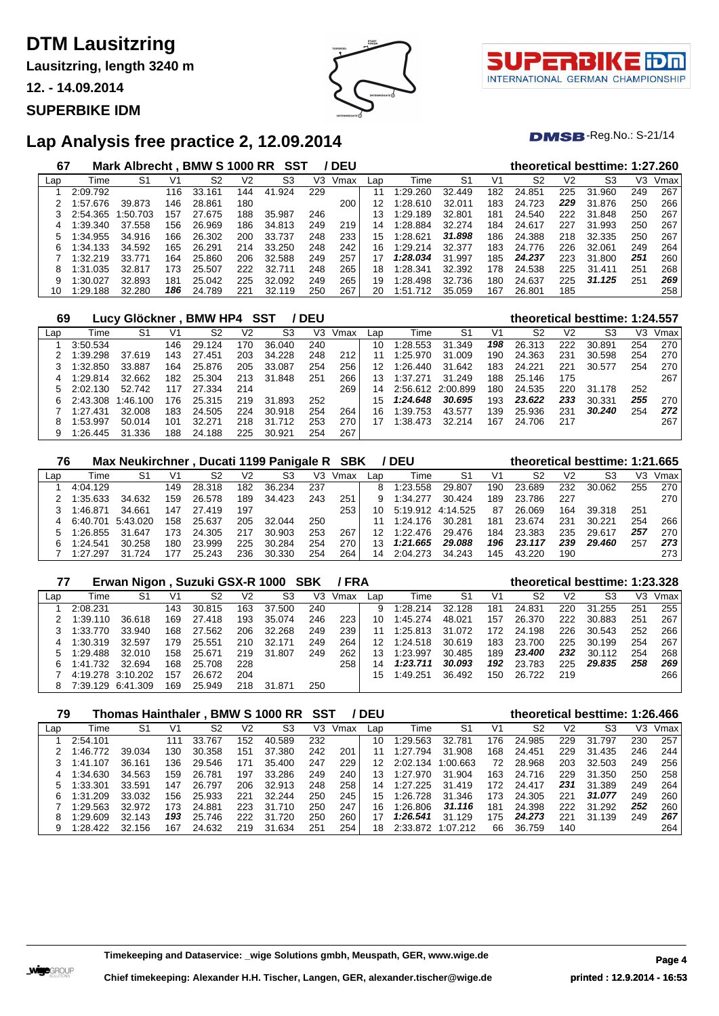**Lausitzring, length 3240 m**

**12. - 14.09.2014**

#### **SUPERBIKE IDM**



INTERNATIONAL GERMAN CHAMPIONSHIP

 $DMSB$ -Reg.No.: S-21/14

### **Lap Analysis free practice 2, 12.09.2014**

| 67  |          | Mark Albrecht . BMW S 1000 RR |     |             |     | SST        |     | <b>DEU</b> |     |              |        |     |        |                | theoretical besttime: 1:27.260 |     |      |
|-----|----------|-------------------------------|-----|-------------|-----|------------|-----|------------|-----|--------------|--------|-----|--------|----------------|--------------------------------|-----|------|
| Lap | Time     | S1                            | V1  | S2          | V2  | S3         | V3  | Vmax       | Lap | Time         | S1     | V1  | S2     | V <sub>2</sub> | S3                             | V3  | Vmax |
|     | 2:09.792 |                               | 116 | .161<br>33. | 144 | .924<br>41 | 229 |            | 11  | 1:29.260     | 32.449 | 182 | 24.851 | 225            | 31.960                         | 249 | 267  |
|     | :57.676  | 39.873                        | 146 | 28.861      | 180 |            |     | 200        | 12  | 1:28.610     | 32.011 | 183 | 24.723 | 229            | 31.876                         | 250 | 266  |
|     | 2:54.365 | :50.703                       | 157 | 27.675      | 188 | 35.987     | 246 |            | 13  | 1:29.189     | 32.801 | 181 | 24.540 | 222            | 31.848                         | 250 | 267  |
| 4   | :39.340  | 37.558                        | 156 | 26.969      | 186 | 34.813     | 249 | 219        | 14  | :28.884      | 32.274 | 184 | 24.617 | 227            | 31.993                         | 250 | 267  |
| 5   | :34.955  | 34.916                        | 166 | 26.302      | 200 | 33.737     | 248 | 233        | 15  | 1:28.621     | 31.898 | 186 | 24.388 | 218            | 32.335                         | 250 | 267  |
| 6   | :34.133  | 34.592                        | 165 | 26.291      | 214 | 33.250     | 248 | 242        | 16  | 1:29.214     | 32.377 | 183 | 24.776 | 226            | 32.061                         | 249 | 264  |
|     | :32.219  | 33.771                        | 164 | 25.860      | 206 | 32.588     | 249 | 257        |     | 1:28.034     | 31.997 | 185 | 24.237 | 223            | 31.800                         | 251 | 260  |
| 8   | :31.035  | 32.817                        | 173 | 25.507      | 222 | 32.711     | 248 | 265        | 18  | 1:28.341     | 32.392 | 178 | 24.538 | 225            | 31.411                         | 251 | 268  |
| 9   | :30.027  | 32.893                        | 181 | 25.042      | 225 | 32.092     | 249 | 265        | 19  | 1:28.498     | 32.736 | 180 | 24.637 | 225            | 31.125                         | 251 | 269  |
| 10  | 1:29.188 | 32.280                        | 186 | 24.789      | 221 | 32.119     | 250 | 267        | 20  | 1:51<br>.712 | 35.059 | 167 | 26.801 | 185            |                                |     | 258  |

| 69  |          | Lucy Glöckner |     | <b>BMW HP4 SST</b> |     |            | <b>DEU</b> |      |     |          |                   |     |        |     | theoretical besttime: 1:24.557 |     |      |
|-----|----------|---------------|-----|--------------------|-----|------------|------------|------|-----|----------|-------------------|-----|--------|-----|--------------------------------|-----|------|
| Lap | Time     | S1            | V1  | S2                 | V2  | S3         | VЗ         | Vmax | Lap | Time     | S1                | V1  | S2     | V2  | S3                             | V3  | Vmax |
|     | 3:50.534 |               | 146 | 29.124             | 170 | 36.040     | 240        |      | 10  | 1:28.553 | 31.349            | 198 | 26.313 | 222 | 30.891                         | 254 | 270  |
|     | : 39.298 | 37.619        | 143 | 27.451             | 203 | 34.228     | 248        | 212  |     | 1:25.970 | 31.009            | 190 | 24.363 | 231 | 30.598                         | 254 | 270  |
|     | :32.850  | 33.887        | 164 | 25.876             | 205 | 33.087     | 254        | 256  | 12  | 1:26.440 | 31.642            | 183 | 24.221 | 221 | 30.577                         | 254 | 270  |
| 4   | 1:29.814 | 32.662        | 182 | 25.304             | 213 | 31.848     | 251        | 266  | 13  | 1:37.271 | 31.249            | 188 | 25.146 | 175 |                                |     | 267  |
| 5   | 2:02.130 | 52.742        | 117 | 27.334             | 214 |            |            | 269  | 14  |          | 2:56.612 2:00.899 | 180 | 24.535 | 220 | 31.178                         | 252 |      |
|     | 2:43.308 | 1:46.100      | 176 | 25.315             | 219 | 31.893     | 252        |      | 15  | 1:24.648 | 30.695            | 193 | 23.622 | 233 | 30.331                         | 255 | 270  |
|     | 1:27.431 | 32.008        | 183 | 24.505             | 224 | 30.918     | 254        | 264  | 16  | 1:39.753 | 43.577            | 139 | 25.936 | 231 | 30.240                         | 254 | 272  |
| 8   | :53.997  | 50.014        | 101 | 32.271             | 218 | .712<br>31 | 253        | 270  |     | 1:38.473 | 32.214            | 167 | 24.706 | 217 |                                |     | 267  |
| 9   | :26.445  | 31.336        | 188 | 24.188             | 225 | 30.921     | 254        | 267  |     |          |                   |     |        |     |                                |     |      |

| 76  |          | Max Neukirchner, Ducati 1199 Panigale R SBK |     |        |                |        |     |      |     | / DEU    |          |     | theoretical besttime: 1:21.665 |                |        |     |      |
|-----|----------|---------------------------------------------|-----|--------|----------------|--------|-----|------|-----|----------|----------|-----|--------------------------------|----------------|--------|-----|------|
| Lap | Time     | S1                                          | V1  | S2     | V <sub>2</sub> | S3     | V3  | Vmax | Lap | Time     | S1       | V1  | S2                             | V <sub>2</sub> | S3     | VЗ  | Vmax |
|     | 4:04.129 |                                             | 149 | 28.318 | 182            | 36.234 | 237 |      | 8   | 1:23.558 | 29.807   | 190 | 23.689                         | 232            | 30.062 | 255 | 270  |
|     | 1:35.633 | 34.632                                      | 159 | 26.578 | 189            | 34.423 | 243 | 251  | 9   | 1:34.277 | 30.424   | 189 | 23.786                         | 227            |        |     | 270  |
|     | 1:46.871 | 34.661                                      | 147 | 27.419 | 197            |        |     | 253  |     | 5:19.912 | 4:14.525 | 87  | 26.069                         | 164            | 39.318 | 251 |      |
|     | 6:40.701 | 5:43.020                                    | 158 | 25.637 | 205            | 32.044 | 250 |      |     | 1:24.176 | 30.281   | 181 | 23.674                         | 231            | 30.221 | 254 | 266  |
|     | 1:26.855 | 31.647                                      | 173 | 24.305 | 217            | 30.903 | 253 | 267  |     | 1:22.476 | 29.476   | 184 | 23.383                         | 235            | 29.617 | 257 | 270  |
| 6   | 1:24.541 | 30.258                                      | 18C | 23.999 | 225            | 30.284 | 254 | 270  | 13  | 1:21.665 | 29.088   | 196 | 23.117                         | 239            | 29.460 | 257 | 273  |
|     | 1:27.297 | 31.724                                      |     | 25.243 | 236            | 30.330 | 254 | 264  | 14  | 2.04.273 | 34.243   | 145 | 43.220                         | 190            |        |     | 273  |

| 77  |                   | Erwan Nigon, Suzuki GSX-R 1000 SBK |     |        |     |            |     | / FRA |     |          |        |     | theoretical besttime: 1:23.328 |     |        |     |      |
|-----|-------------------|------------------------------------|-----|--------|-----|------------|-----|-------|-----|----------|--------|-----|--------------------------------|-----|--------|-----|------|
| Lap | Time              | S1                                 | V1  | S2     | V2  | S3         | V3  | Vmax  | Lap | Time     | S1     | V1  | S2                             | V2  | S3     | VЗ  | Vmax |
|     | 2:08.231          |                                    | 143 | 30.815 | 163 | 37.500     | 240 |       | 9   | 1:28.214 | 32.128 | 181 | 24.831                         | 220 | 31.255 | 251 | 255  |
|     | 1:39.110          | 36.618                             | 169 | 27.418 | 193 | 35.074     | 246 | 223   | 10  | 1:45.274 | 48.021 | 157 | 26.370                         | 222 | 30.883 | 251 | 267  |
|     | 1:33.770          | 33.940                             | 168 | 27.562 | 206 | 32.268     | 249 | 239   |     | 1:25.813 | 31.072 | 172 | 24.198                         | 226 | 30.543 | 252 | 266  |
|     | 1:30.319          | 32.597                             | 179 | 25.551 | 210 | 32.171     | 249 | 264   | 12. | 1:24.518 | 30.619 | 183 | 23.700                         | 225 | 30.199 | 254 | 267  |
|     | 1:29.488          | 32.010                             | 158 | 25.671 | 219 | 31.807     | 249 | 262   | 13  | 1:23.997 | 30.485 | 189 | 23,400                         | 232 | 30.112 | 254 | 268  |
| 6   | 1:41.732          | 32.694                             | 168 | 25.708 | 228 |            |     | 258   | 14  | 1:23.711 | 30.093 | 192 | 23.783                         | 225 | 29.835 | 258 | 269  |
|     | 4:19.278 3:10.202 |                                    | 157 | 26.672 | 204 |            |     |       | .5  | 1:49.251 | 36.492 | 150 | 26.722                         | 219 |        |     | 266  |
| 8   | 7:39.129          | 6:41.309                           | 169 | 25.949 | 218 | 31<br>.871 | 250 |       |     |          |        |     |                                |     |        |     |      |

#### 79 Thomas Hainthaler, BMW S 1000 RR SST / DEU

| theoretical besttime: 1:26.466 |  |
|--------------------------------|--|
|                                |  |

| Lap | Time     | S1     | V1  | S2     | V2  | S3     | V3  | Vmax | Lap | Time     | S1       | V1  | S2     | V2  | S3     | VЗ  | Vmax |
|-----|----------|--------|-----|--------|-----|--------|-----|------|-----|----------|----------|-----|--------|-----|--------|-----|------|
|     | 2:54.101 |        | 111 | 33.767 | 152 | 40.589 | 232 |      | 10  | 1:29.563 | 32.781   | 176 | 24.985 | 229 | 31.797 | 230 | 257  |
|     | 1:46.772 | 39.034 | 130 | 30.358 | 151 | 37.380 | 242 | 201  | 11  | 1:27.794 | 31.908   | 168 | 24.451 | 229 | 31.435 | 246 | 244  |
|     | 1:41.107 | 36.161 | 136 | 29.546 | 171 | 35.400 | 247 | 229  | 12  | 2:02.134 | 1:00.663 | 72  | 28.968 | 203 | 32.503 | 249 | 256  |
| 4   | 1:34.630 | 34.563 | 159 | 26.781 | 197 | 33.286 | 249 | 240  | 13  | 1:27.970 | 31.904   | 163 | 24.716 | 229 | 31.350 | 250 | 258  |
|     | 1:33.301 | 33.591 | 147 | 26.797 | 206 | 32.913 | 248 | 258  | 14  | 1:27.225 | 31.419   | 172 | 24.417 | 231 | 31.389 | 249 | 264  |
| 6.  | 1:31.209 | 33.032 | 156 | 25.933 | 221 | 32.244 | 250 | 245  | 15  | 1:26.728 | 31.346   | 173 | 24.305 | 221 | 31.077 | 249 | 260  |
|     | 1:29.563 | 32.972 | 173 | 24.881 | 223 | 31.710 | 250 | 247  | 16  | 1:26.806 | 31.116   | 181 | 24.398 | 222 | 31.292 | 252 | 260  |
| 8   | 1:29.609 | 32.143 | 193 | 25.746 | 222 | 31.720 | 250 | 260  | 17  | 1:26.541 | 31.129   | 175 | 24.273 | 221 | 31.139 | 249 | 267  |
|     | 1:28.422 | 32.156 | 167 | 24.632 | 219 | 31.634 | 251 | 254  | 18  | 2:33.872 | 1:07.212 | 66  | 36.759 | 140 |        |     | 264  |